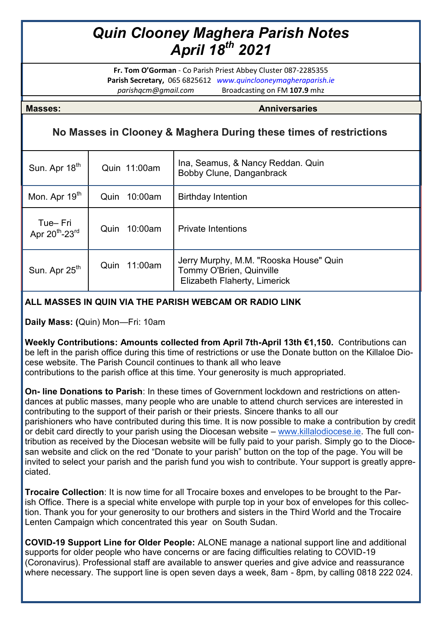## *Quin Clooney Maghera Parish Notes April 18th 2021*

**Fr. Tom O'Gorman** - Co Parish Priest Abbey Cluster 087-2285355 **Parish Secretary,** 065 6825612 *www.quinclooneymagheraparish.ie parishqcm@gmail.com* Broadcasting on FM **107.9** mhz

**Masses: Anniversaries**

## **No Masses in Clooney & Maghera During these times of restrictions**

| Sun. Apr 18 <sup>th</sup>                         | Quin 11:00am    | Ina, Seamus, & Nancy Reddan. Quin<br>Bobby Clune, Danganbrack                                      |
|---------------------------------------------------|-----------------|----------------------------------------------------------------------------------------------------|
| Mon. Apr 19 <sup>th</sup>                         | 10:00am<br>Quin | <b>Birthday Intention</b>                                                                          |
| Tue-Fri<br>Apr 20 <sup>th</sup> -23 <sup>rd</sup> | 10:00am<br>Quin | <b>Private Intentions</b>                                                                          |
| Sun. Apr 25 <sup>th</sup>                         | 11:00am<br>Quin | Jerry Murphy, M.M. "Rooska House" Quin<br>Tommy O'Brien, Quinville<br>Elizabeth Flaherty, Limerick |

## **ALL MASSES IN QUIN VIA THE PARISH WEBCAM OR RADIO LINK**

**Daily Mass: (**Quin) Mon—Fri: 10am

**Weekly Contributions: Amounts collected from April 7th-April 13th €1,150.** Contributions can be left in the parish office during this time of restrictions or use the Donate button on the Killaloe Diocese website. The Parish Council continues to thank all who leave contributions to the parish office at this time. Your generosity is much appropriated.

**On- line Donations to Parish**: In these times of Government lockdown and restrictions on atten-

dances at public masses, many people who are unable to attend church services are interested in contributing to the support of their parish or their priests. Sincere thanks to all our parishioners who have contributed during this time. It is now possible to make a contribution by credit or debit card directly to your parish using the Diocesan website – [www.killalodiocese.ie.](http://www.killalodiocese.ie/) The full contribution as received by the Diocesan website will be fully paid to your parish. Simply go to the Diocesan website and click on the red "Donate to your parish" button on the top of the page. You will be invited to select your parish and the parish fund you wish to contribute. Your support is greatly appreciated.

**Trocaire Collection**: It is now time for all Trocaire boxes and envelopes to be brought to the Parish Office. There is a special white envelope with purple top in your box of envelopes for this collection. Thank you for your generosity to our brothers and sisters in the Third World and the Trocaire Lenten Campaign which concentrated this year on South Sudan.

**COVID-19 Support Line for Older People:** ALONE manage a national support line and additional supports for older people who have concerns or are facing difficulties relating to COVID-19 (Coronavirus). Professional staff are available to answer queries and give advice and reassurance where necessary. The support line is open seven days a week, 8am - 8pm, by calling 0818 222 024.